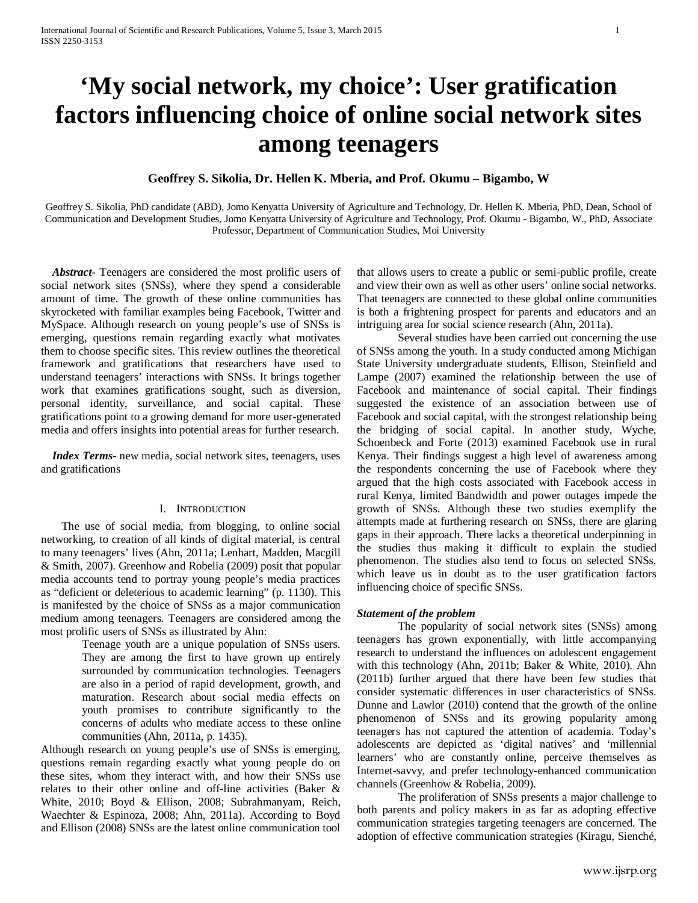# **'My social network, my choice': User gratification factors influencing choice of online social network sites among teenagers**

## **Geoffrey S. Sikolia, Dr. Hellen K. Mberia, and Prof. Okumu – Bigambo, W**

Geoffrey S. Sikolia, PhD candidate (ABD), Jomo Kenyatta University of Agriculture and Technology, Dr. Hellen K. Mberia, PhD, Dean, School of Communication and Development Studies, Jomo Kenyatta University of Agriculture and Technology, Prof. Okumu - Bigambo, W., PhD, Associate Professor, Department of Communication Studies, Moi University

 *Abstract***-** Teenagers are considered the most prolific users of social network sites (SNSs), where they spend a considerable amount of time. The growth of these online communities has skyrocketed with familiar examples being Facebook, Twitter and MySpace. Although research on young people's use of SNSs is emerging, questions remain regarding exactly what motivates them to choose specific sites. This review outlines the theoretical framework and gratifications that researchers have used to understand teenagers' interactions with SNSs. It brings together work that examines gratifications sought, such as diversion, personal identity, surveillance, and social capital. These gratifications point to a growing demand for more user-generated media and offers insights into potential areas for further research.

 *Index Terms*- new media, social network sites, teenagers, uses and gratifications

## I. INTRODUCTION

The use of social media, from blogging, to online social networking, to creation of all kinds of digital material, is central to many teenagers' lives (Ahn, 2011a; Lenhart, Madden, Macgill & Smith, 2007). Greenhow and Robelia (2009) posit that popular media accounts tend to portray young people's media practices as "deficient or deleterious to academic learning" (p. 1130). This is manifested by the choice of SNSs as a major communication medium among teenagers. Teenagers are considered among the most prolific users of SNSs as illustrated by Ahn:

> Teenage youth are a unique population of SNSs users. They are among the first to have grown up entirely surrounded by communication technologies. Teenagers are also in a period of rapid development, growth, and maturation. Research about social media effects on youth promises to contribute significantly to the concerns of adults who mediate access to these online communities (Ahn, 2011a, p. 1435).

Although research on young people's use of SNSs is emerging, questions remain regarding exactly what young people do on these sites, whom they interact with, and how their SNSs use relates to their other online and off-line activities (Baker & White, 2010; Boyd & Ellison, 2008; Subrahmanyam, Reich, Waechter & Espinoza, 2008; Ahn, 2011a). According to Boyd and Ellison (2008) SNSs are the latest online communication tool

that allows users to create a public or semi-public profile, create and view their own as well as other users' online social networks. That teenagers are connected to these global online communities is both a frightening prospect for parents and educators and an intriguing area for social science research (Ahn, 2011a).

Several studies have been carried out concerning the use of SNSs among the youth. In a study conducted among Michigan State University undergraduate students, Ellison, Steinfield and Lampe (2007) examined the relationship between the use of Facebook and maintenance of social capital. Their findings suggested the existence of an association between use of Facebook and social capital, with the strongest relationship being the bridging of social capital. In another study, Wyche, Schoenbeck and Forte (2013) examined Facebook use in rural Kenya. Their findings suggest a high level of awareness among the respondents concerning the use of Facebook where they argued that the high costs associated with Facebook access in rural Kenya, limited Bandwidth and power outages impede the growth of SNSs. Although these two studies exemplify the attempts made at furthering research on SNSs, there are glaring gaps in their approach. There lacks a theoretical underpinning in the studies thus making it difficult to explain the studied phenomenon. The studies also tend to focus on selected SNSs, which leave us in doubt as to the user gratification factors influencing choice of specific SNSs.

## *Statement of the problem*

The popularity of social network sites (SNSs) among teenagers has grown exponentially, with little accompanying research to understand the influences on adolescent engagement with this technology (Ahn, 2011b; Baker & White, 2010). Ahn (2011b) further argued that there have been few studies that consider systematic differences in user characteristics of SNSs. Dunne and Lawlor (2010) contend that the growth of the online phenomenon of SNSs and its growing popularity among teenagers has not captured the attention of academia. Today's adolescents are depicted as 'digital natives' and 'millennial learners' who are constantly online, perceive themselves as Internet-savvy, and prefer technology-enhanced communication channels (Greenhow & Robelia, 2009).

The proliferation of SNSs presents a major challenge to both parents and policy makers in as far as adopting effective communication strategies targeting teenagers are concerned. The adoption of effective communication strategies (Kiragu, Sienché,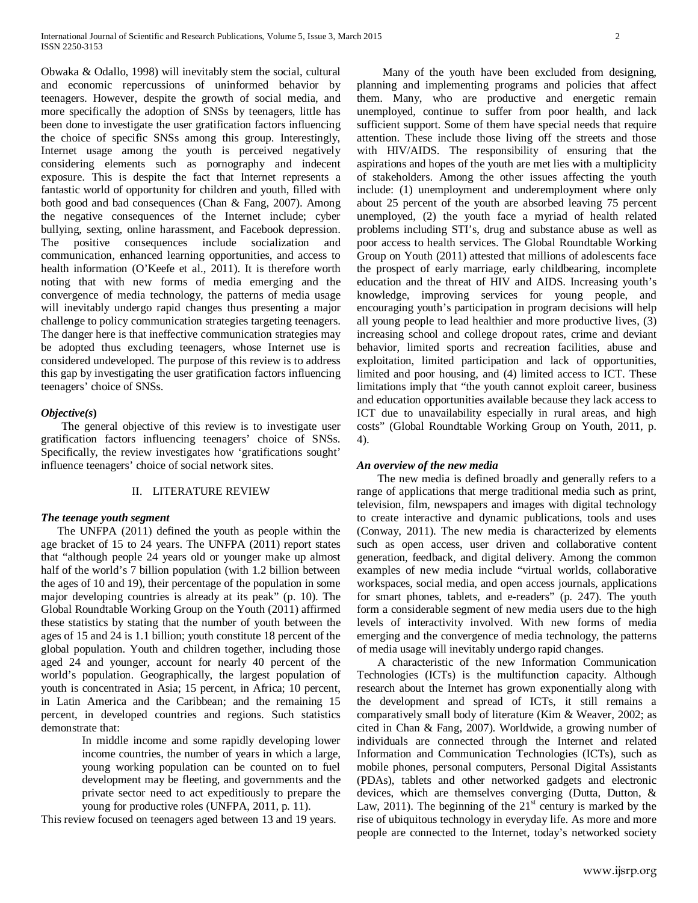Obwaka & Odallo, 1998) will inevitably stem the social, cultural and economic repercussions of uninformed behavior by teenagers. However, despite the growth of social media, and more specifically the adoption of SNSs by teenagers, little has been done to investigate the user gratification factors influencing the choice of specific SNSs among this group. Interestingly, Internet usage among the youth is perceived negatively considering elements such as pornography and indecent exposure. This is despite the fact that Internet represents a fantastic world of opportunity for children and youth, filled with both good and bad consequences (Chan & Fang, 2007). Among the negative consequences of the Internet include; cyber bullying, sexting, online harassment, and Facebook depression. The positive consequences include socialization and communication, enhanced learning opportunities, and access to health information (O'Keefe et al., 2011). It is therefore worth noting that with new forms of media emerging and the convergence of media technology, the patterns of media usage will inevitably undergo rapid changes thus presenting a major challenge to policy communication strategies targeting teenagers. The danger here is that ineffective communication strategies may be adopted thus excluding teenagers, whose Internet use is considered undeveloped. The purpose of this review is to address this gap by investigating the user gratification factors influencing teenagers' choice of SNSs.

## *Objective(s***)**

The general objective of this review is to investigate user gratification factors influencing teenagers' choice of SNSs. Specifically, the review investigates how 'gratifications sought' influence teenagers' choice of social network sites.

#### II. LITERATURE REVIEW

## *The teenage youth segment*

The UNFPA (2011) defined the youth as people within the age bracket of 15 to 24 years. The UNFPA (2011) report states that "although people 24 years old or younger make up almost half of the world's 7 billion population (with 1.2 billion between the ages of 10 and 19), their percentage of the population in some major developing countries is already at its peak" (p. 10). The Global Roundtable Working Group on the Youth (2011) affirmed these statistics by stating that the number of youth between the ages of 15 and 24 is 1.1 billion; youth constitute 18 percent of the global population. Youth and children together, including those aged 24 and younger, account for nearly 40 percent of the world's population. Geographically, the largest population of youth is concentrated in Asia; 15 percent, in Africa; 10 percent, in Latin America and the Caribbean; and the remaining 15 percent, in developed countries and regions. Such statistics demonstrate that:

> In middle income and some rapidly developing lower income countries, the number of years in which a large, young working population can be counted on to fuel development may be fleeting, and governments and the private sector need to act expeditiously to prepare the young for productive roles (UNFPA, 2011, p. 11).

This review focused on teenagers aged between 13 and 19 years.

Many of the youth have been excluded from designing, planning and implementing programs and policies that affect them. Many, who are productive and energetic remain unemployed, continue to suffer from poor health, and lack sufficient support. Some of them have special needs that require attention. These include those living off the streets and those with HIV/AIDS. The responsibility of ensuring that the aspirations and hopes of the youth are met lies with a multiplicity of stakeholders. Among the other issues affecting the youth include: (1) unemployment and underemployment where only about 25 percent of the youth are absorbed leaving 75 percent unemployed, (2) the youth face a myriad of health related problems including STI's, drug and substance abuse as well as poor access to health services. The Global Roundtable Working Group on Youth (2011) attested that millions of adolescents face the prospect of early marriage, early childbearing, incomplete education and the threat of HIV and AIDS. Increasing youth's knowledge, improving services for young people, and encouraging youth's participation in program decisions will help all young people to lead healthier and more productive lives, (3) increasing school and college dropout rates, crime and deviant behavior, limited sports and recreation facilities, abuse and exploitation, limited participation and lack of opportunities, limited and poor housing, and (4) limited access to ICT. These limitations imply that "the youth cannot exploit career, business and education opportunities available because they lack access to ICT due to unavailability especially in rural areas, and high costs" (Global Roundtable Working Group on Youth, 2011, p. 4).

#### *An overview of the new media*

The new media is defined broadly and generally refers to a range of applications that merge traditional media such as print, television, film, newspapers and images with digital technology to create interactive and dynamic publications, tools and uses (Conway, 2011). The new media is characterized by elements such as open access, user driven and collaborative content generation, feedback, and digital delivery. Among the common examples of new media include "virtual worlds, collaborative workspaces, social media, and open access journals, applications for smart phones, tablets, and e-readers" (p. 247). The youth form a considerable segment of new media users due to the high levels of interactivity involved. With new forms of media emerging and the convergence of media technology, the patterns of media usage will inevitably undergo rapid changes.

A characteristic of the new Information Communication Technologies (ICTs) is the multifunction capacity. Although research about the Internet has grown exponentially along with the development and spread of ICTs, it still remains a comparatively small body of literature (Kim & Weaver, 2002; as cited in Chan & Fang, 2007). Worldwide, a growing number of individuals are connected through the Internet and related Information and Communication Technologies (ICTs), such as mobile phones, personal computers, Personal Digital Assistants (PDAs), tablets and other networked gadgets and electronic devices, which are themselves converging (Dutta, Dutton, & Law, 2011). The beginning of the  $21<sup>st</sup>$  century is marked by the rise of ubiquitous technology in everyday life. As more and more people are connected to the Internet, today's networked society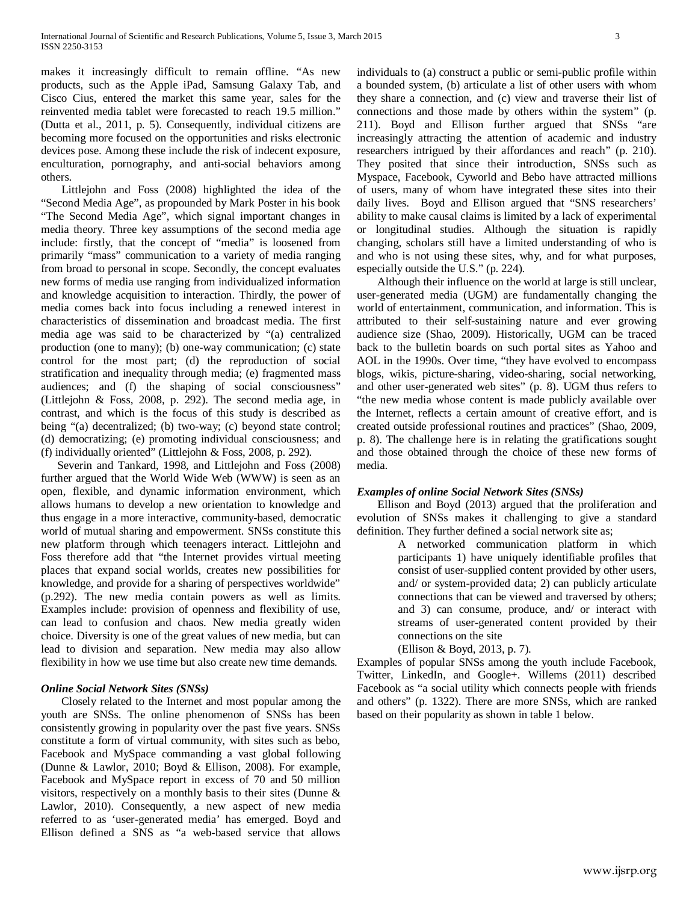makes it increasingly difficult to remain offline. "As new products, such as the Apple iPad, Samsung Galaxy Tab, and Cisco Cius, entered the market this same year, sales for the reinvented media tablet were forecasted to reach 19.5 million." (Dutta et al., 2011, p. 5). Consequently, individual citizens are becoming more focused on the opportunities and risks electronic devices pose. Among these include the risk of indecent exposure, enculturation, pornography, and anti-social behaviors among others.

Littlejohn and Foss (2008) highlighted the idea of the "Second Media Age", as propounded by Mark Poster in his book "The Second Media Age", which signal important changes in media theory. Three key assumptions of the second media age include: firstly, that the concept of "media" is loosened from primarily "mass" communication to a variety of media ranging from broad to personal in scope. Secondly, the concept evaluates new forms of media use ranging from individualized information and knowledge acquisition to interaction. Thirdly, the power of media comes back into focus including a renewed interest in characteristics of dissemination and broadcast media. The first media age was said to be characterized by "(a) centralized production (one to many); (b) one-way communication; (c) state control for the most part; (d) the reproduction of social stratification and inequality through media; (e) fragmented mass audiences; and (f) the shaping of social consciousness" (Littlejohn & Foss, 2008, p. 292). The second media age, in contrast, and which is the focus of this study is described as being "(a) decentralized; (b) two-way; (c) beyond state control; (d) democratizing; (e) promoting individual consciousness; and (f) individually oriented" (Littlejohn & Foss, 2008, p. 292).

Severin and Tankard, 1998, and Littlejohn and Foss (2008) further argued that the World Wide Web (WWW) is seen as an open, flexible, and dynamic information environment, which allows humans to develop a new orientation to knowledge and thus engage in a more interactive, community-based, democratic world of mutual sharing and empowerment. SNSs constitute this new platform through which teenagers interact. Littlejohn and Foss therefore add that "the Internet provides virtual meeting places that expand social worlds, creates new possibilities for knowledge, and provide for a sharing of perspectives worldwide" (p.292). The new media contain powers as well as limits. Examples include: provision of openness and flexibility of use, can lead to confusion and chaos. New media greatly widen choice. Diversity is one of the great values of new media, but can lead to division and separation. New media may also allow flexibility in how we use time but also create new time demands.

## *Online Social Network Sites (SNSs)*

Closely related to the Internet and most popular among the youth are SNSs. The online phenomenon of SNSs has been consistently growing in popularity over the past five years. SNSs constitute a form of virtual community, with sites such as bebo, Facebook and MySpace commanding a vast global following (Dunne & Lawlor, 2010; Boyd & Ellison, 2008). For example, Facebook and MySpace report in excess of 70 and 50 million visitors, respectively on a monthly basis to their sites (Dunne & Lawlor, 2010). Consequently, a new aspect of new media referred to as 'user-generated media' has emerged. Boyd and Ellison defined a SNS as "a web-based service that allows

individuals to (a) construct a public or semi-public profile within a bounded system, (b) articulate a list of other users with whom they share a connection, and (c) view and traverse their list of connections and those made by others within the system" (p. 211). Boyd and Ellison further argued that SNSs "are increasingly attracting the attention of academic and industry researchers intrigued by their affordances and reach" (p. 210). They posited that since their introduction, SNSs such as Myspace, Facebook, Cyworld and Bebo have attracted millions of users, many of whom have integrated these sites into their daily lives. Boyd and Ellison argued that "SNS researchers' ability to make causal claims is limited by a lack of experimental or longitudinal studies. Although the situation is rapidly changing, scholars still have a limited understanding of who is and who is not using these sites, why, and for what purposes, especially outside the U.S." (p. 224).

Although their influence on the world at large is still unclear, user-generated media (UGM) are fundamentally changing the world of entertainment, communication, and information. This is attributed to their self-sustaining nature and ever growing audience size (Shao, 2009). Historically, UGM can be traced back to the bulletin boards on such portal sites as Yahoo and AOL in the 1990s. Over time, "they have evolved to encompass blogs, wikis, picture-sharing, video-sharing, social networking, and other user-generated web sites" (p. 8). UGM thus refers to "the new media whose content is made publicly available over the Internet, reflects a certain amount of creative effort, and is created outside professional routines and practices" (Shao, 2009, p. 8). The challenge here is in relating the gratifications sought and those obtained through the choice of these new forms of media.

## *Examples of online Social Network Sites (SNSs)*

Ellison and Boyd (2013) argued that the proliferation and evolution of SNSs makes it challenging to give a standard definition. They further defined a social network site as;

> A networked communication platform in which participants 1) have uniquely identifiable profiles that consist of user-supplied content provided by other users, and/ or system-provided data; 2) can publicly articulate connections that can be viewed and traversed by others; and 3) can consume, produce, and/ or interact with streams of user-generated content provided by their connections on the site

## (Ellison & Boyd, 2013, p. 7).

Examples of popular SNSs among the youth include Facebook, Twitter, LinkedIn, and Google+. Willems (2011) described Facebook as "a social utility which connects people with friends and others" (p. 1322). There are more SNSs, which are ranked based on their popularity as shown in table 1 below.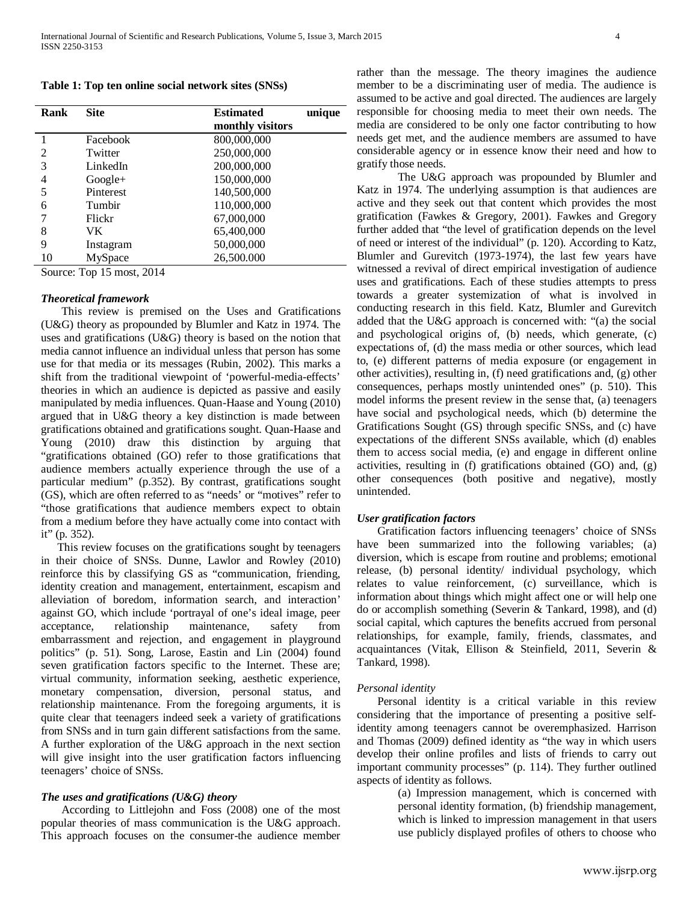**Table 1: Top ten online social network sites (SNSs)** 

| Rank           | <b>Site</b> | <b>Estimated</b><br>monthly visitors | unique |
|----------------|-------------|--------------------------------------|--------|
|                | Facebook    | 800,000,000                          |        |
| $\overline{2}$ | Twitter     | 250,000,000                          |        |
| 3              | LinkedIn    | 200,000,000                          |        |
| 4              | $Google+$   | 150,000,000                          |        |
|                | Pinterest   | 140,500,000                          |        |
| 6              | Tumbir      | 110,000,000                          |        |
|                | Flickr      | 67,000,000                           |        |
| 8              | VK          | 65,400,000                           |        |
| 9              | Instagram   | 50,000,000                           |        |
| 10             | MySpace     | 26,500.000                           |        |

Source: Top 15 most, 2014

### *Theoretical framework*

This review is premised on the Uses and Gratifications (U&G) theory as propounded by Blumler and Katz in 1974. The uses and gratifications (U&G) theory is based on the notion that media cannot influence an individual unless that person has some use for that media or its messages (Rubin, 2002). This marks a shift from the traditional viewpoint of 'powerful-media-effects' theories in which an audience is depicted as passive and easily manipulated by media influences. Quan-Haase and Young (2010) argued that in U&G theory a key distinction is made between gratifications obtained and gratifications sought. Quan-Haase and Young (2010) draw this distinction by arguing that "gratifications obtained (GO) refer to those gratifications that audience members actually experience through the use of a particular medium" (p.352). By contrast, gratifications sought (GS), which are often referred to as "needs' or "motives" refer to "those gratifications that audience members expect to obtain from a medium before they have actually come into contact with it" (p. 352).

This review focuses on the gratifications sought by teenagers in their choice of SNSs. Dunne, Lawlor and Rowley (2010) reinforce this by classifying GS as "communication, friending, identity creation and management, entertainment, escapism and alleviation of boredom, information search, and interaction' against GO, which include 'portrayal of one's ideal image, peer acceptance, relationship maintenance, safety from embarrassment and rejection, and engagement in playground politics" (p. 51). Song, Larose, Eastin and Lin (2004) found seven gratification factors specific to the Internet. These are; virtual community, information seeking, aesthetic experience, monetary compensation, diversion, personal status, and relationship maintenance. From the foregoing arguments, it is quite clear that teenagers indeed seek a variety of gratifications from SNSs and in turn gain different satisfactions from the same. A further exploration of the U&G approach in the next section will give insight into the user gratification factors influencing teenagers' choice of SNSs.

## *The uses and gratifications (U&G) theory*

According to Littlejohn and Foss (2008) one of the most popular theories of mass communication is the U&G approach. This approach focuses on the consumer-the audience member rather than the message. The theory imagines the audience member to be a discriminating user of media. The audience is assumed to be active and goal directed. The audiences are largely responsible for choosing media to meet their own needs. The media are considered to be only one factor contributing to how needs get met, and the audience members are assumed to have considerable agency or in essence know their need and how to gratify those needs.

The U&G approach was propounded by Blumler and Katz in 1974. The underlying assumption is that audiences are active and they seek out that content which provides the most gratification (Fawkes & Gregory, 2001). Fawkes and Gregory further added that "the level of gratification depends on the level of need or interest of the individual" (p. 120). According to Katz, Blumler and Gurevitch (1973-1974), the last few years have witnessed a revival of direct empirical investigation of audience uses and gratifications. Each of these studies attempts to press towards a greater systemization of what is involved in conducting research in this field. Katz, Blumler and Gurevitch added that the U&G approach is concerned with: "(a) the social and psychological origins of, (b) needs, which generate, (c) expectations of, (d) the mass media or other sources, which lead to, (e) different patterns of media exposure (or engagement in other activities), resulting in, (f) need gratifications and, (g) other consequences, perhaps mostly unintended ones" (p. 510). This model informs the present review in the sense that, (a) teenagers have social and psychological needs, which (b) determine the Gratifications Sought (GS) through specific SNSs, and (c) have expectations of the different SNSs available, which (d) enables them to access social media, (e) and engage in different online activities, resulting in (f) gratifications obtained (GO) and, (g) other consequences (both positive and negative), mostly unintended.

## *User gratification factors*

Gratification factors influencing teenagers' choice of SNSs have been summarized into the following variables; (a) diversion, which is escape from routine and problems; emotional release, (b) personal identity/ individual psychology, which relates to value reinforcement, (c) surveillance, which is information about things which might affect one or will help one do or accomplish something (Severin & Tankard, 1998), and (d) social capital, which captures the benefits accrued from personal relationships, for example, family, friends, classmates, and acquaintances (Vitak, Ellison & Steinfield, 2011, Severin & Tankard, 1998).

## *Personal identity*

Personal identity is a critical variable in this review considering that the importance of presenting a positive selfidentity among teenagers cannot be overemphasized. Harrison and Thomas (2009) defined identity as "the way in which users develop their online profiles and lists of friends to carry out important community processes" (p. 114). They further outlined aspects of identity as follows.

> (a) Impression management, which is concerned with personal identity formation, (b) friendship management, which is linked to impression management in that users use publicly displayed profiles of others to choose who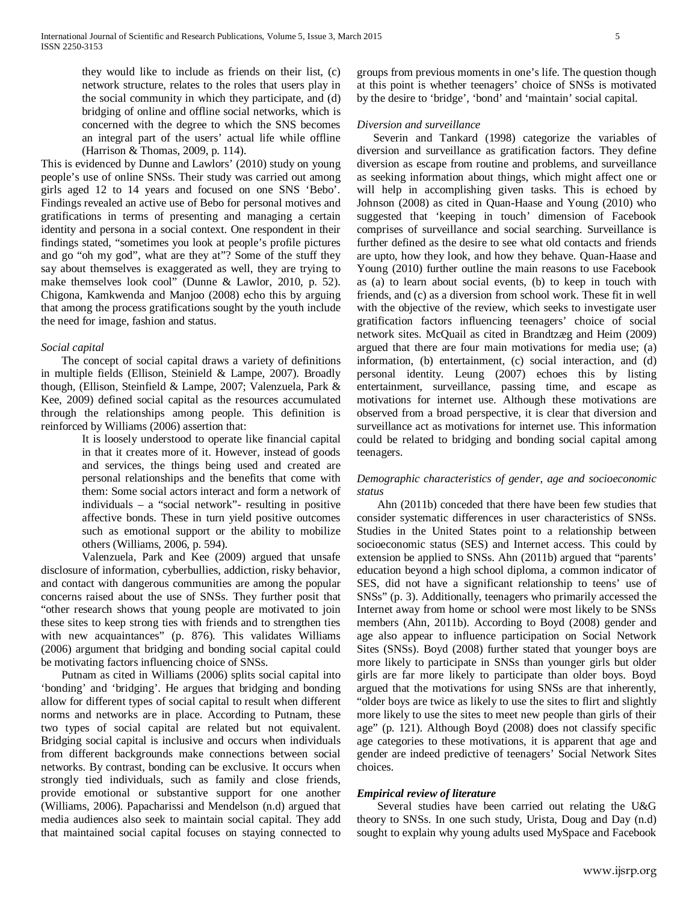they would like to include as friends on their list, (c) network structure, relates to the roles that users play in the social community in which they participate, and (d) bridging of online and offline social networks, which is concerned with the degree to which the SNS becomes an integral part of the users' actual life while offline (Harrison & Thomas, 2009, p. 114).

This is evidenced by Dunne and Lawlors' (2010) study on young people's use of online SNSs. Their study was carried out among girls aged 12 to 14 years and focused on one SNS 'Bebo'. Findings revealed an active use of Bebo for personal motives and gratifications in terms of presenting and managing a certain identity and persona in a social context. One respondent in their findings stated, "sometimes you look at people's profile pictures and go "oh my god", what are they at"? Some of the stuff they say about themselves is exaggerated as well, they are trying to make themselves look cool" (Dunne & Lawlor, 2010, p. 52). Chigona, Kamkwenda and Manjoo (2008) echo this by arguing that among the process gratifications sought by the youth include the need for image, fashion and status.

## *Social capital*

The concept of social capital draws a variety of definitions in multiple fields (Ellison, Steinield & Lampe, 2007). Broadly though, (Ellison, Steinfield & Lampe, 2007; Valenzuela, Park & Kee, 2009) defined social capital as the resources accumulated through the relationships among people. This definition is reinforced by Williams (2006) assertion that:

> It is loosely understood to operate like financial capital in that it creates more of it. However, instead of goods and services, the things being used and created are personal relationships and the benefits that come with them: Some social actors interact and form a network of individuals – a "social network"- resulting in positive affective bonds. These in turn yield positive outcomes such as emotional support or the ability to mobilize others (Williams, 2006, p. 594).

Valenzuela, Park and Kee (2009) argued that unsafe disclosure of information, cyberbullies, addiction, risky behavior, and contact with dangerous communities are among the popular concerns raised about the use of SNSs. They further posit that "other research shows that young people are motivated to join these sites to keep strong ties with friends and to strengthen ties with new acquaintances" (p. 876). This validates Williams (2006) argument that bridging and bonding social capital could be motivating factors influencing choice of SNSs.

Putnam as cited in Williams (2006) splits social capital into 'bonding' and 'bridging'. He argues that bridging and bonding allow for different types of social capital to result when different norms and networks are in place. According to Putnam, these two types of social capital are related but not equivalent. Bridging social capital is inclusive and occurs when individuals from different backgrounds make connections between social networks. By contrast, bonding can be exclusive. It occurs when strongly tied individuals, such as family and close friends, provide emotional or substantive support for one another (Williams, 2006). Papacharissi and Mendelson (n.d) argued that media audiences also seek to maintain social capital. They add that maintained social capital focuses on staying connected to groups from previous moments in one's life. The question though at this point is whether teenagers' choice of SNSs is motivated by the desire to 'bridge', 'bond' and 'maintain' social capital.

#### *Diversion and surveillance*

Severin and Tankard (1998) categorize the variables of diversion and surveillance as gratification factors. They define diversion as escape from routine and problems, and surveillance as seeking information about things, which might affect one or will help in accomplishing given tasks. This is echoed by Johnson (2008) as cited in Quan-Haase and Young (2010) who suggested that 'keeping in touch' dimension of Facebook comprises of surveillance and social searching. Surveillance is further defined as the desire to see what old contacts and friends are upto, how they look, and how they behave. Quan-Haase and Young (2010) further outline the main reasons to use Facebook as (a) to learn about social events, (b) to keep in touch with friends, and (c) as a diversion from school work. These fit in well with the objective of the review, which seeks to investigate user gratification factors influencing teenagers' choice of social network sites. McQuail as cited in Brandtzæg and Heim (2009) argued that there are four main motivations for media use; (a) information, (b) entertainment, (c) social interaction, and (d) personal identity. Leung (2007) echoes this by listing entertainment, surveillance, passing time, and escape as motivations for internet use. Although these motivations are observed from a broad perspective, it is clear that diversion and surveillance act as motivations for internet use. This information could be related to bridging and bonding social capital among teenagers.

## *Demographic characteristics of gender, age and socioeconomic status*

Ahn (2011b) conceded that there have been few studies that consider systematic differences in user characteristics of SNSs. Studies in the United States point to a relationship between socioeconomic status (SES) and Internet access. This could by extension be applied to SNSs. Ahn (2011b) argued that "parents' education beyond a high school diploma, a common indicator of SES, did not have a significant relationship to teens' use of SNSs" (p. 3). Additionally, teenagers who primarily accessed the Internet away from home or school were most likely to be SNSs members (Ahn, 2011b). According to Boyd (2008) gender and age also appear to influence participation on Social Network Sites (SNSs). Boyd (2008) further stated that younger boys are more likely to participate in SNSs than younger girls but older girls are far more likely to participate than older boys. Boyd argued that the motivations for using SNSs are that inherently, "older boys are twice as likely to use the sites to flirt and slightly more likely to use the sites to meet new people than girls of their age" (p. 121). Although Boyd (2008) does not classify specific age categories to these motivations, it is apparent that age and gender are indeed predictive of teenagers' Social Network Sites choices.

## *Empirical review of literature*

Several studies have been carried out relating the U&G theory to SNSs. In one such study, Urista, Doug and Day (n.d) sought to explain why young adults used MySpace and Facebook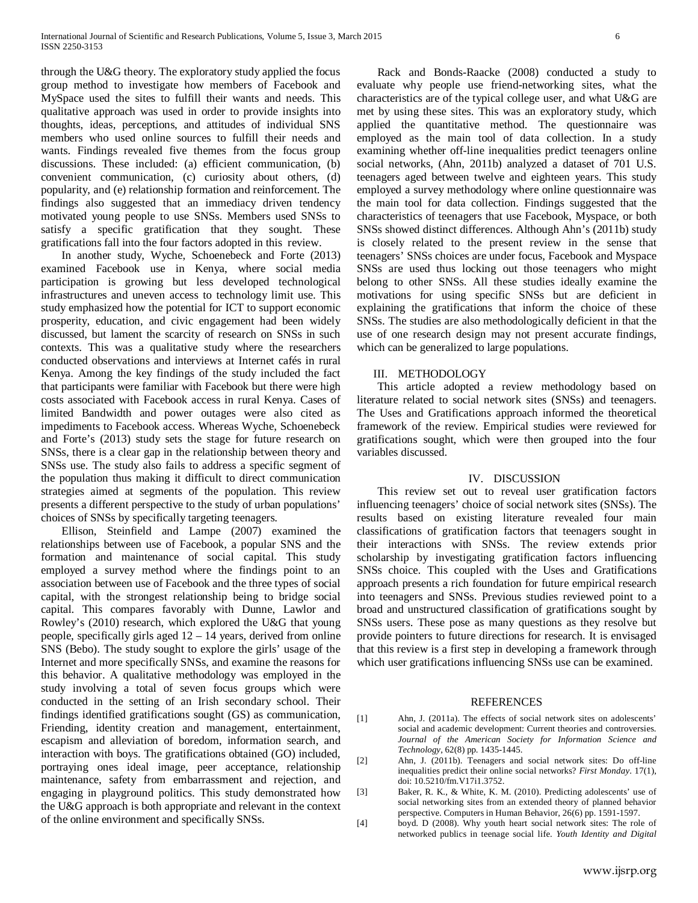through the U&G theory. The exploratory study applied the focus group method to investigate how members of Facebook and MySpace used the sites to fulfill their wants and needs. This qualitative approach was used in order to provide insights into thoughts, ideas, perceptions, and attitudes of individual SNS members who used online sources to fulfill their needs and wants. Findings revealed five themes from the focus group discussions. These included: (a) efficient communication, (b) convenient communication, (c) curiosity about others, (d) popularity, and (e) relationship formation and reinforcement. The findings also suggested that an immediacy driven tendency motivated young people to use SNSs. Members used SNSs to satisfy a specific gratification that they sought. These gratifications fall into the four factors adopted in this review.

In another study, Wyche, Schoenebeck and Forte (2013) examined Facebook use in Kenya, where social media participation is growing but less developed technological infrastructures and uneven access to technology limit use. This study emphasized how the potential for ICT to support economic prosperity, education, and civic engagement had been widely discussed, but lament the scarcity of research on SNSs in such contexts. This was a qualitative study where the researchers conducted observations and interviews at Internet cafés in rural Kenya. Among the key findings of the study included the fact that participants were familiar with Facebook but there were high costs associated with Facebook access in rural Kenya. Cases of limited Bandwidth and power outages were also cited as impediments to Facebook access. Whereas Wyche, Schoenebeck and Forte's (2013) study sets the stage for future research on SNSs, there is a clear gap in the relationship between theory and SNSs use. The study also fails to address a specific segment of the population thus making it difficult to direct communication strategies aimed at segments of the population. This review presents a different perspective to the study of urban populations' choices of SNSs by specifically targeting teenagers.

Ellison, Steinfield and Lampe (2007) examined the relationships between use of Facebook, a popular SNS and the formation and maintenance of social capital. This study employed a survey method where the findings point to an association between use of Facebook and the three types of social capital, with the strongest relationship being to bridge social capital. This compares favorably with Dunne, Lawlor and Rowley's (2010) research, which explored the U&G that young people, specifically girls aged 12 – 14 years, derived from online SNS (Bebo). The study sought to explore the girls' usage of the Internet and more specifically SNSs, and examine the reasons for this behavior. A qualitative methodology was employed in the study involving a total of seven focus groups which were conducted in the setting of an Irish secondary school. Their findings identified gratifications sought (GS) as communication, Friending, identity creation and management, entertainment, escapism and alleviation of boredom, information search, and interaction with boys. The gratifications obtained (GO) included, portraying ones ideal image, peer acceptance, relationship maintenance, safety from embarrassment and rejection, and engaging in playground politics. This study demonstrated how the U&G approach is both appropriate and relevant in the context of the online environment and specifically SNSs.

Rack and Bonds-Raacke (2008) conducted a study to evaluate why people use friend-networking sites, what the characteristics are of the typical college user, and what U&G are met by using these sites. This was an exploratory study, which applied the quantitative method. The questionnaire was employed as the main tool of data collection. In a study examining whether off-line inequalities predict teenagers online social networks, (Ahn, 2011b) analyzed a dataset of 701 U.S. teenagers aged between twelve and eighteen years. This study employed a survey methodology where online questionnaire was the main tool for data collection. Findings suggested that the characteristics of teenagers that use Facebook, Myspace, or both SNSs showed distinct differences. Although Ahn's (2011b) study is closely related to the present review in the sense that teenagers' SNSs choices are under focus, Facebook and Myspace SNSs are used thus locking out those teenagers who might belong to other SNSs. All these studies ideally examine the motivations for using specific SNSs but are deficient in explaining the gratifications that inform the choice of these SNSs. The studies are also methodologically deficient in that the use of one research design may not present accurate findings, which can be generalized to large populations.

## III. METHODOLOGY

This article adopted a review methodology based on literature related to social network sites (SNSs) and teenagers. The Uses and Gratifications approach informed the theoretical framework of the review. Empirical studies were reviewed for gratifications sought, which were then grouped into the four variables discussed.

## IV. DISCUSSION

This review set out to reveal user gratification factors influencing teenagers' choice of social network sites (SNSs). The results based on existing literature revealed four main classifications of gratification factors that teenagers sought in their interactions with SNSs. The review extends prior scholarship by investigating gratification factors influencing SNSs choice. This coupled with the Uses and Gratifications approach presents a rich foundation for future empirical research into teenagers and SNSs. Previous studies reviewed point to a broad and unstructured classification of gratifications sought by SNSs users. These pose as many questions as they resolve but provide pointers to future directions for research. It is envisaged that this review is a first step in developing a framework through which user gratifications influencing SNSs use can be examined.

## REFERENCES

- [1] Ahn, J. (2011a). The effects of social network sites on adolescents' social and academic development: Current theories and controversies. *Journal of the American Society for Information Science and Technology*, 62(8) pp. 1435-1445.
- [2] Ahn, J. (2011b). Teenagers and social network sites: Do off-line inequalities predict their online social networks? *First Monday*. 17(1), doi: 10.5210/fm.V17i1.3752.
- [3] Baker, R. K., & White, K. M. (2010). Predicting adolescents' use of social networking sites from an extended theory of planned behavior perspective. Computers in Human Behavior, 26(6) pp. 1591-1597.
- [4] boyd. D (2008). Why youth heart social network sites: The role of networked publics in teenage social life. *Youth Identity and Digital*